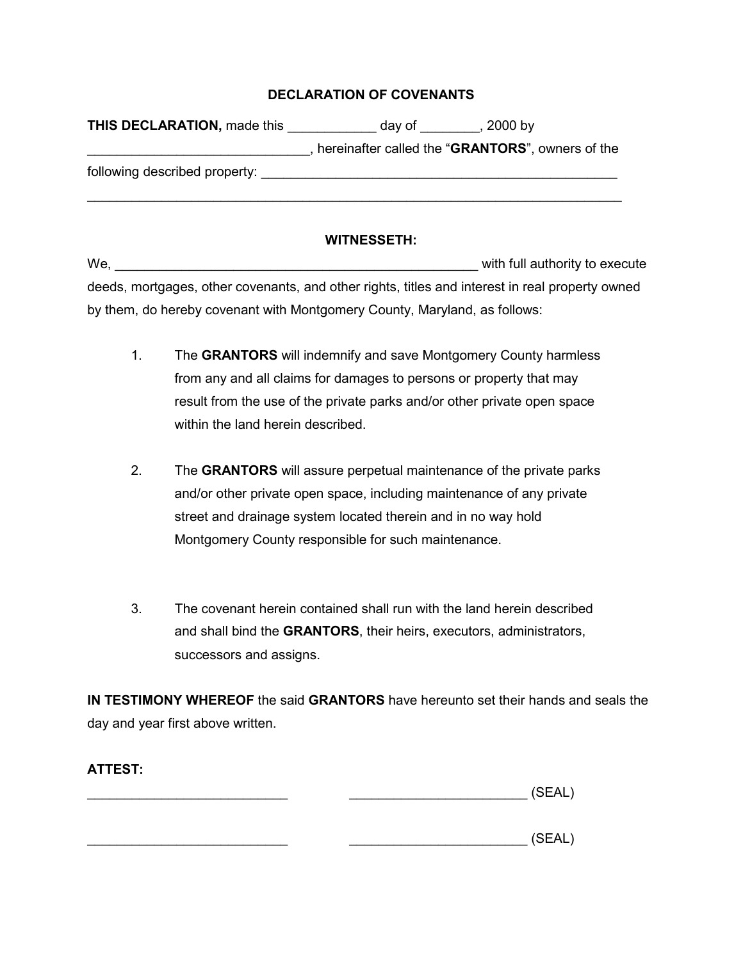## **DECLARATION OF COVENANTS**

| hereinafter called the "GRANTORS", owners of the |
|--------------------------------------------------|
|                                                  |
|                                                  |

## **WITNESSETH:**

We, with full authority to execute deeds, mortgages, other covenants, and other rights, titles and interest in real property owned by them, do hereby covenant with Montgomery County, Maryland, as follows:

- 1. The **GRANTORS** will indemnify and save Montgomery County harmless from any and all claims for damages to persons or property that may result from the use of the private parks and/or other private open space within the land herein described.
- 2. The **GRANTORS** will assure perpetual maintenance of the private parks and/or other private open space, including maintenance of any private street and drainage system located therein and in no way hold Montgomery County responsible for such maintenance.
- 3. The covenant herein contained shall run with the land herein described and shall bind the **GRANTORS**, their heirs, executors, administrators, successors and assigns.

**IN TESTIMONY WHEREOF** the said **GRANTORS** have hereunto set their hands and seals the day and year first above written.

| - |
|---|
|---|

 $\Box$ 

\_\_\_\_\_\_\_\_\_\_\_\_\_\_\_\_\_\_\_\_\_\_\_\_\_\_\_ \_\_\_\_\_\_\_\_\_\_\_\_\_\_\_\_\_\_\_\_\_\_\_\_ (SEAL)